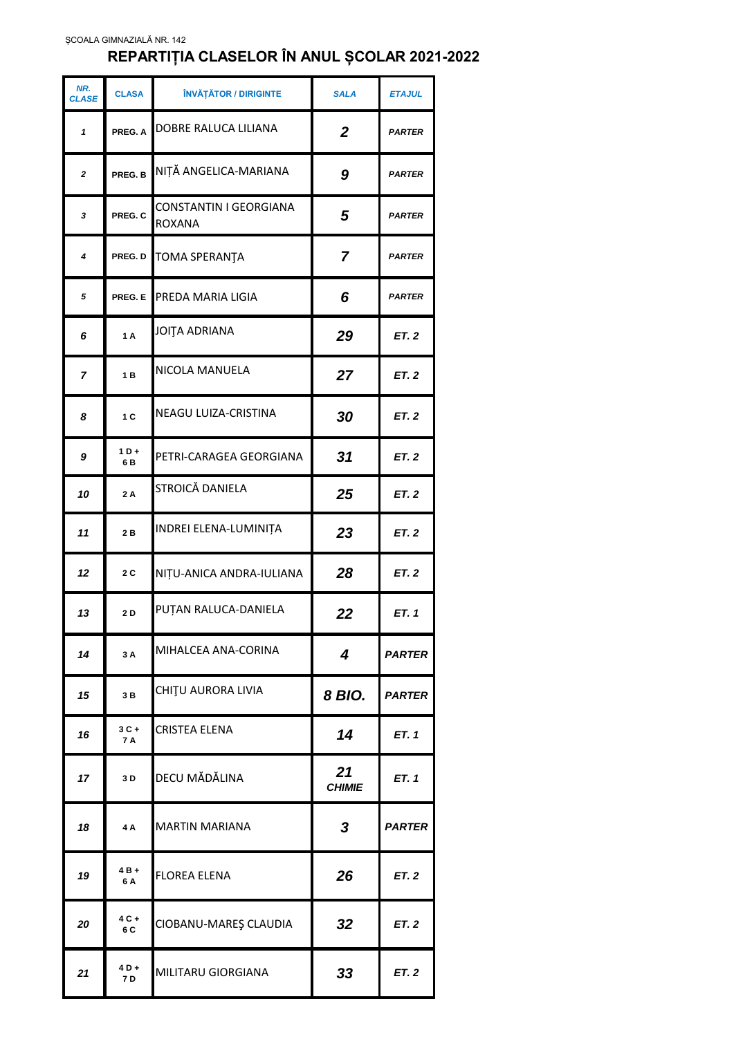## **REPARTIȚIA CLASELOR ÎN ANUL ȘCOLAR 2021-2022**

| NR.<br><b>CLASE</b> | <b>CLASA</b>   | ÎNVĂȚĂTOR / DIRIGINTE                   | <b>SALA</b>         | <b>ETAJUL</b> |
|---------------------|----------------|-----------------------------------------|---------------------|---------------|
| $\mathbf{1}$        | PREG. A        | DOBRE RALUCA LILIANA                    | $\overline{2}$      | <b>PARTER</b> |
| $\overline{2}$      | PREG. B        | NIȚĂ ANGELICA-MARIANA                   | 9                   | <b>PARTER</b> |
| 3                   | PREG. C        | CONSTANTIN I GEORGIANA<br><b>ROXANA</b> | 5                   | <b>PARTER</b> |
| 4                   | PREG. D        | <b>TOMA SPERANTA</b>                    | $\overline{7}$      | <b>PARTER</b> |
| 5                   | PREG. E        | PREDA MARIA LIGIA                       | 6                   | <b>PARTER</b> |
| 6                   | 1A             | JOITA ADRIANA                           | 29                  | ET.2          |
| 7                   | 1B             | NICOLA MANUELA                          | 27                  | <b>ET. 2</b>  |
| 8                   | 1 <sub>C</sub> | NEAGU LUIZA-CRISTINA                    | 30                  | <b>ET. 2</b>  |
| 9                   | $1D +$<br>6 B  | PETRI-CARAGEA GEORGIANA                 | 31                  | ET.2          |
| 10                  | 2A             | STROICĂ DANIELA                         | 25                  | <b>ET. 2</b>  |
| 11                  | 2B             | INDREI ELENA-LUMINIȚA                   | 23                  | <b>ET. 2</b>  |
| 12                  | 2C             | NIȚU-ANICA ANDRA-IULIANA                | 28                  | ET.2          |
| 13                  | 2 D            | PUTAN RALUCA-DANIELA                    | 22                  | ET.1          |
| 14                  | 3A             | MIHALCEA ANA-CORINA                     | $\boldsymbol{4}$    | <b>PARTER</b> |
| 15                  | 3B             | CHIȚU AURORA LIVIA                      | 8 BIO.              | <b>PARTER</b> |
| 16                  | $3C +$<br>7 A  | CRISTEA ELENA                           | 14                  | ET. 1         |
| 17                  | 3 D            | DECU MĂDĂLINA                           | 21<br><b>CHIMIE</b> | ET. 1         |
| 18                  | 4A             | <b>MARTIN MARIANA</b>                   | 3                   | <b>PARTER</b> |
| 19                  | 4 B +<br>6 A   | <b>FLOREA ELENA</b>                     | 26                  | ET. 2         |
| 20                  | 4 C +<br>6 C   | CIOBANU-MAREȘ CLAUDIA                   | 32                  | <b>ET. 2</b>  |
| 21                  | $4D+$<br>7 D   | MILITARU GIORGIANA                      | 33                  | ET.2          |